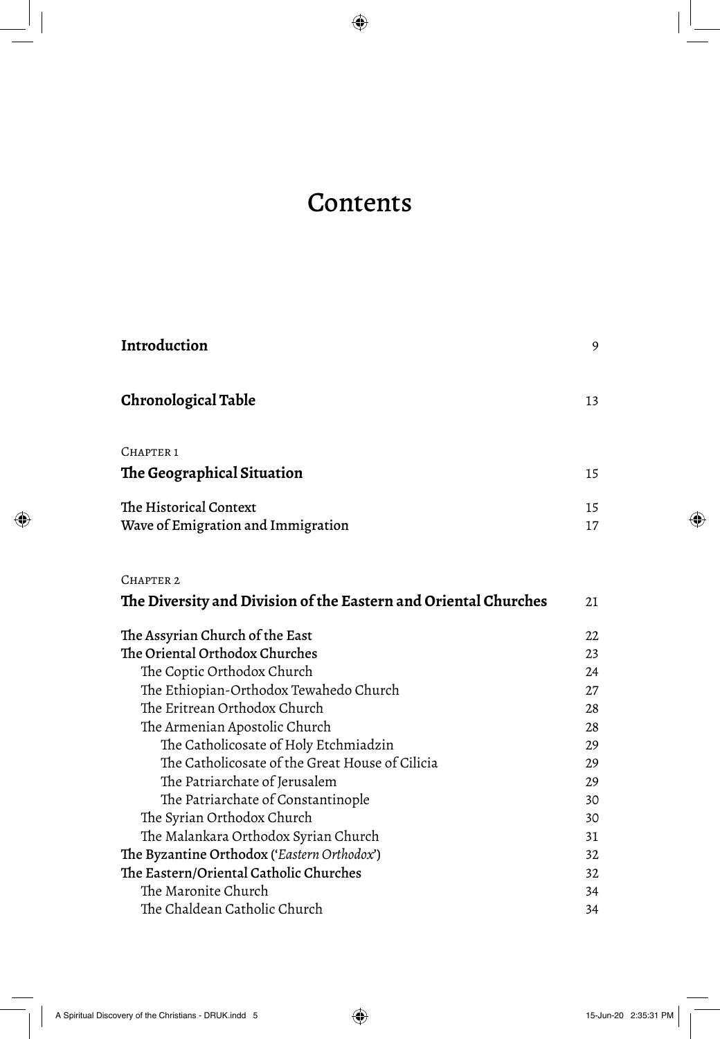## Contents

| Introduction                                                    | 9        |
|-----------------------------------------------------------------|----------|
| Chronological Table                                             | 13       |
| CHAPTER <sub>1</sub>                                            |          |
| The Geographical Situation                                      | 15       |
| The Historical Context<br>Wave of Emigration and Immigration    | 15<br>17 |
| CHAPTER <sub>2</sub>                                            |          |
| The Diversity and Division of the Eastern and Oriental Churches | 21       |
| The Assyrian Church of the East                                 | 22       |
| The Oriental Orthodox Churches                                  | 23       |
| The Coptic Orthodox Church                                      | 24       |
| The Ethiopian-Orthodox Tewahedo Church                          | 27       |
| The Eritrean Orthodox Church                                    | 28       |
| The Armenian Apostolic Church                                   | 28       |
| The Catholicosate of Holy Etchmiadzin                           | 29       |
| The Catholicosate of the Great House of Cilicia                 | 29       |
| The Patriarchate of Jerusalem                                   | 29       |
| The Patriarchate of Constantinople                              | 30       |
| The Syrian Orthodox Church                                      | 30       |
| The Malankara Orthodox Syrian Church                            | 31       |
| The Byzantine Orthodox ('Eastern Orthodox')                     | 32       |
| The Eastern/Oriental Catholic Churches                          | 32       |
| The Maronite Church                                             | 34       |
| The Chaldean Catholic Church                                    | 34       |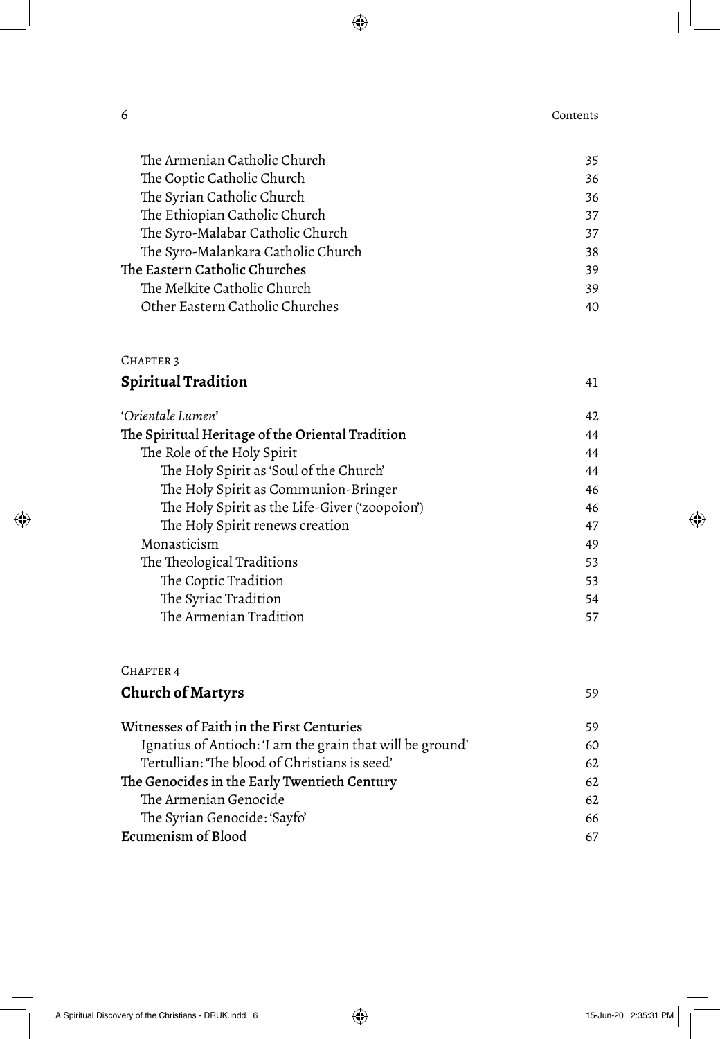6 Contents

| The Armenian Catholic Church       | 35 |
|------------------------------------|----|
| The Coptic Catholic Church         | 36 |
| The Syrian Catholic Church         | 36 |
| The Ethiopian Catholic Church      | 37 |
| The Syro-Malabar Catholic Church   | 37 |
| The Syro-Malankara Catholic Church | 38 |
| The Eastern Catholic Churches      | 39 |
| The Melkite Catholic Church        | 39 |
| Other Eastern Catholic Churches    | 40 |
|                                    |    |

## CHAPTER 3

| <b>Spiritual Tradition</b> |  |
|----------------------------|--|
|----------------------------|--|

| 'Orientale Lumen'                                | 42 |
|--------------------------------------------------|----|
| The Spiritual Heritage of the Oriental Tradition | 44 |
| The Role of the Holy Spirit                      | 44 |
| The Holy Spirit as 'Soul of the Church'          | 44 |
| The Holy Spirit as Communion-Bringer             | 46 |
| The Holy Spirit as the Life-Giver ('zoopoion')   | 46 |
| The Holy Spirit renews creation                  | 47 |
| Monasticism                                      | 49 |
| The Theological Traditions                       | 53 |
| The Coptic Tradition                             | 53 |
| The Syriac Tradition                             | 54 |
| The Armenian Tradition                           | 57 |
|                                                  |    |

| CHAPTER 4                                                 |    |
|-----------------------------------------------------------|----|
| <b>Church of Martyrs</b>                                  | 59 |
| Witnesses of Faith in the First Centuries                 | 59 |
| Ignatius of Antioch: 'I am the grain that will be ground' | 6C |
| Tertullian: 'The blood of Christians is seed'             | 62 |
| The Genocides in the Early Twentieth Century              | 62 |
| The Armenian Genocide                                     | 62 |
| The Syrian Genocide: 'Sayfo'                              | 66 |
| Ecumenism of Blood                                        | 67 |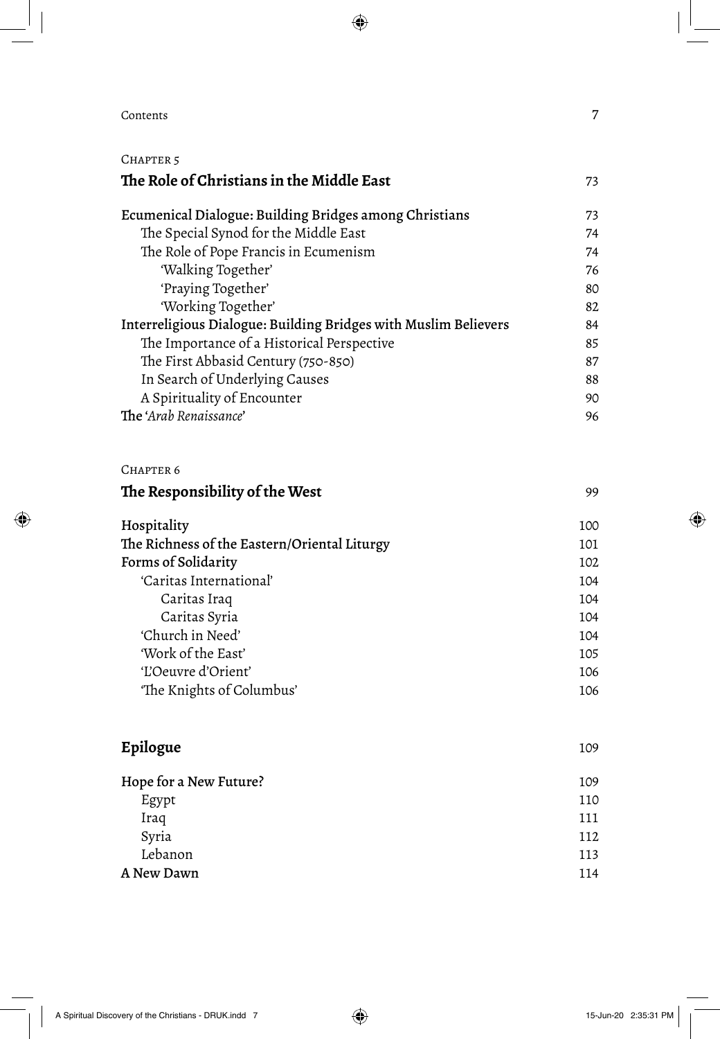## **Contents** 7

| CHAPTER 5                                                       |     |
|-----------------------------------------------------------------|-----|
| The Role of Christians in the Middle East                       | 73  |
| Ecumenical Dialogue: Building Bridges among Christians          | 73  |
| The Special Synod for the Middle East                           | 74  |
| The Role of Pope Francis in Ecumenism                           | 74  |
| 'Walking Together'                                              | 76  |
| 'Praying Together'                                              | 80  |
| 'Working Together'                                              | 82  |
| Interreligious Dialogue: Building Bridges with Muslim Believers | 84  |
| The Importance of a Historical Perspective                      | 85  |
| The First Abbasid Century (750-850)                             | 87  |
| In Search of Underlying Causes                                  | 88  |
| A Spirituality of Encounter                                     | 90  |
| The 'Arab Renaissance'                                          | 96  |
| CHAPTER <sub>6</sub>                                            |     |
| The Responsibility of the West                                  | 99  |
| Hospitality                                                     | 100 |
| The Richness of the Eastern/Oriental Liturgy                    | 101 |
| Forms of Solidarity                                             | 102 |
| 'Caritas International'                                         | 104 |
| Caritas Iraq                                                    | 104 |
| Caritas Syria                                                   | 104 |
| 'Church in Need'                                                | 104 |
| 'Work of the East'                                              | 105 |
| 'L'Oeuvre d'Orient'                                             | 106 |
| 'The Knights of Columbus'                                       | 106 |
| Epilogue                                                        | 109 |
| Hope for a New Future?                                          | 109 |

| Egypt      | 110 |
|------------|-----|
| Iraq       | 111 |
| Syria      | 112 |
| Lebanon    | 113 |
| A New Dawn | 114 |
|            |     |